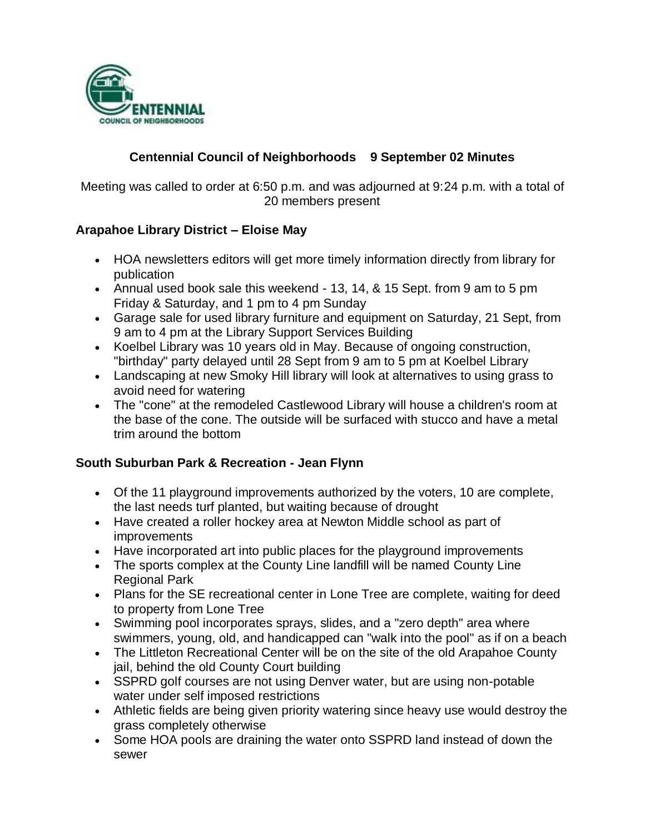

### **Centennial Council of Neighborhoods 9 September 02 Minutes**

Meeting was called to order at 6:50 p.m. and was adjourned at 9:24 p.m. with a total of 20 members present

### **Arapahoe Library District – Eloise May**

- HOA newsletters editors will get more timely information directly from library for publication
- Annual used book sale this weekend 13, 14, & 15 Sept. from 9 am to 5 pm Friday & Saturday, and 1 pm to 4 pm Sunday
- Garage sale for used library furniture and equipment on Saturday, 21 Sept, from 9 am to 4 pm at the Library Support Services Building
- Koelbel Library was 10 years old in May. Because of ongoing construction, "birthday" party delayed until 28 Sept from 9 am to 5 pm at Koelbel Library
- Landscaping at new Smoky Hill library will look at alternatives to using grass to avoid need for watering
- The "cone" at the remodeled Castlewood Library will house a children's room at the base of the cone. The outside will be surfaced with stucco and have a metal trim around the bottom

#### **South Suburban Park & Recreation - Jean Flynn**

- Of the 11 playground improvements authorized by the voters, 10 are complete, the last needs turf planted, but waiting because of drought
- Have created a roller hockey area at Newton Middle school as part of improvements
- Have incorporated art into public places for the playground improvements
- The sports complex at the County Line landfill will be named County Line Regional Park
- Plans for the SE recreational center in Lone Tree are complete, waiting for deed to property from Lone Tree
- Swimming pool incorporates sprays, slides, and a "zero depth" area where swimmers, young, old, and handicapped can "walk into the pool" as if on a beach
- The Littleton Recreational Center will be on the site of the old Arapahoe County jail, behind the old County Court building
- SSPRD golf courses are not using Denver water, but are using non-potable water under self imposed restrictions
- Athletic fields are being given priority watering since heavy use would destroy the grass completely otherwise
- Some HOA pools are draining the water onto SSPRD land instead of down the sewer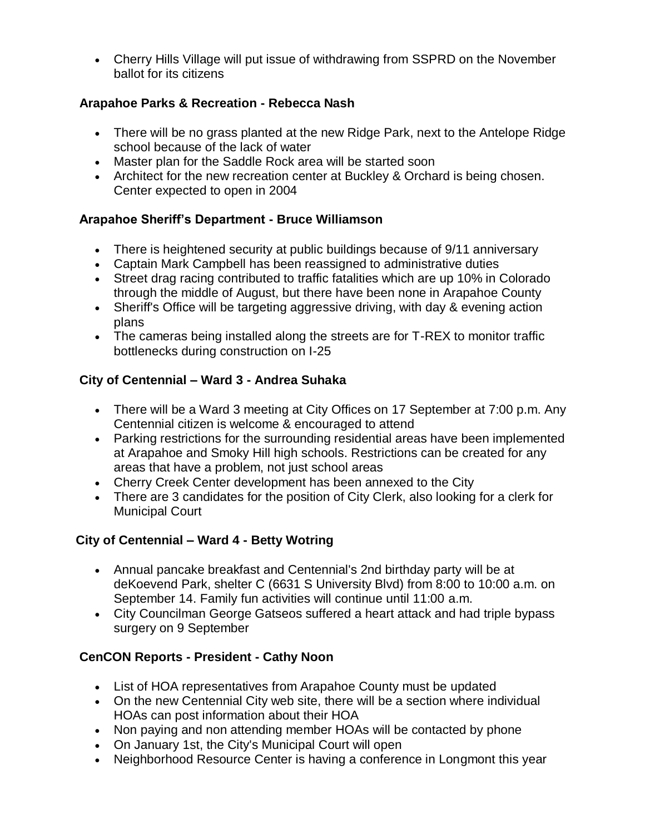Cherry Hills Village will put issue of withdrawing from SSPRD on the November ballot for its citizens

### **Arapahoe Parks & Recreation - Rebecca Nash**

- There will be no grass planted at the new Ridge Park, next to the Antelope Ridge school because of the lack of water
- Master plan for the Saddle Rock area will be started soon
- Architect for the new recreation center at Buckley & Orchard is being chosen. Center expected to open in 2004

# **Arapahoe Sheriff's Department - Bruce Williamson**

- There is heightened security at public buildings because of 9/11 anniversary
- Captain Mark Campbell has been reassigned to administrative duties
- Street drag racing contributed to traffic fatalities which are up 10% in Colorado through the middle of August, but there have been none in Arapahoe County
- Sheriff's Office will be targeting aggressive driving, with day & evening action plans
- The cameras being installed along the streets are for T-REX to monitor traffic bottlenecks during construction on I-25

# **City of Centennial – Ward 3 - Andrea Suhaka**

- There will be a Ward 3 meeting at City Offices on 17 September at 7:00 p.m. Any Centennial citizen is welcome & encouraged to attend
- Parking restrictions for the surrounding residential areas have been implemented at Arapahoe and Smoky Hill high schools. Restrictions can be created for any areas that have a problem, not just school areas
- Cherry Creek Center development has been annexed to the City
- There are 3 candidates for the position of City Clerk, also looking for a clerk for Municipal Court

# **City of Centennial – Ward 4 - Betty Wotring**

- Annual pancake breakfast and Centennial's 2nd birthday party will be at deKoevend Park, shelter C (6631 S University Blvd) from 8:00 to 10:00 a.m. on September 14. Family fun activities will continue until 11:00 a.m.
- City Councilman George Gatseos suffered a heart attack and had triple bypass surgery on 9 September

# **CenCON Reports - President - Cathy Noon**

- List of HOA representatives from Arapahoe County must be updated
- On the new Centennial City web site, there will be a section where individual HOAs can post information about their HOA
- Non paying and non attending member HOAs will be contacted by phone
- On January 1st, the City's Municipal Court will open
- Neighborhood Resource Center is having a conference in Longmont this year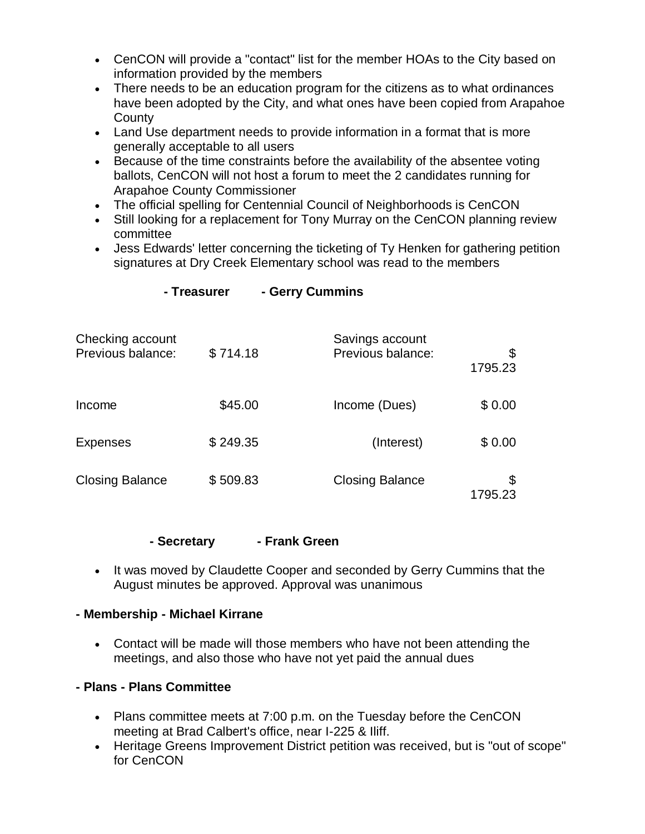- CenCON will provide a "contact" list for the member HOAs to the City based on information provided by the members
- There needs to be an education program for the citizens as to what ordinances have been adopted by the City, and what ones have been copied from Arapahoe **County**
- Land Use department needs to provide information in a format that is more generally acceptable to all users
- Because of the time constraints before the availability of the absentee voting ballots, CenCON will not host a forum to meet the 2 candidates running for Arapahoe County Commissioner
- The official spelling for Centennial Council of Neighborhoods is CenCON
- Still looking for a replacement for Tony Murray on the CenCON planning review committee
- Jess Edwards' letter concerning the ticketing of Ty Henken for gathering petition signatures at Dry Creek Elementary school was read to the members

| Checking account<br>Previous balance: | \$714.18 | Savings account<br>Previous balance: | \$<br>1795.23 |
|---------------------------------------|----------|--------------------------------------|---------------|
| Income                                | \$45.00  | Income (Dues)                        | \$0.00        |
| <b>Expenses</b>                       | \$249.35 | (Interest)                           | \$0.00        |
| <b>Closing Balance</b>                | \$509.83 | <b>Closing Balance</b>               | \$<br>1795.23 |

#### **- Treasurer - Gerry Cummins**

#### **- Secretary - Frank Green**

• It was moved by Claudette Cooper and seconded by Gerry Cummins that the August minutes be approved. Approval was unanimous

#### **- Membership - Michael Kirrane**

 Contact will be made will those members who have not been attending the meetings, and also those who have not yet paid the annual dues

#### **- Plans - Plans Committee**

- Plans committee meets at 7:00 p.m. on the Tuesday before the CenCON meeting at Brad Calbert's office, near I-225 & Iliff.
- Heritage Greens Improvement District petition was received, but is "out of scope" for CenCON